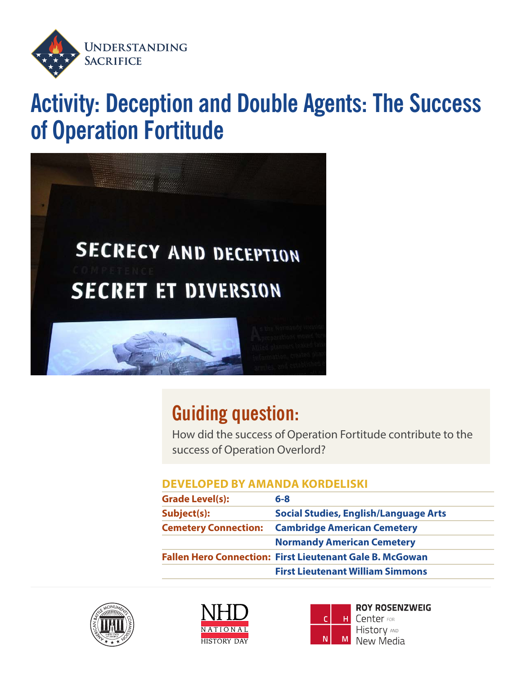

# **Activity: Deception and Double Agents: The Success of Operation Fortitude**



## **Guiding question:**

How did the success of Operation Fortitude contribute to the success of Operation Overlord?

#### **DEVELOPED BY AMANDA KORDELISKI**

| <b>Grade Level(s):</b>      | $6 - 8$                                                         |  |
|-----------------------------|-----------------------------------------------------------------|--|
| Subject(s):                 | <b>Social Studies, English/Language Arts</b>                    |  |
| <b>Cemetery Connection:</b> | <b>Cambridge American Cemetery</b>                              |  |
|                             | <b>Normandy American Cemetery</b>                               |  |
|                             | <b>Fallen Hero Connection: First Lieutenant Gale B. McGowan</b> |  |
|                             | <b>First Lieutenant William Simmons</b>                         |  |







**ROY ROSENZWEIG** Center FOR **History AND** New Media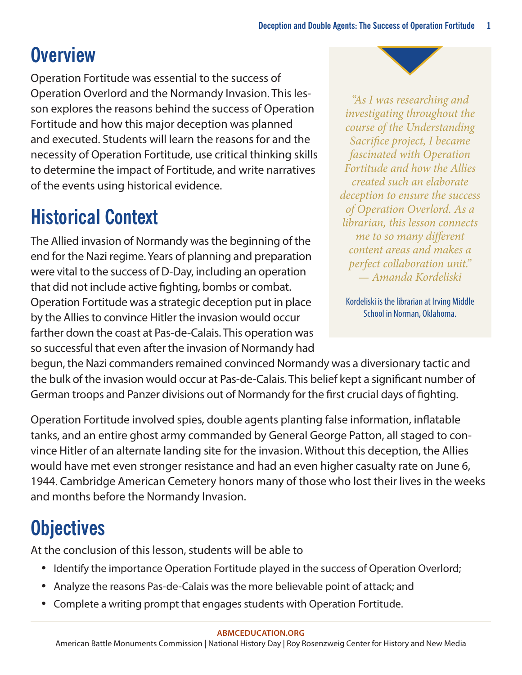# **Overview**

Operation Fortitude was essential to the success of Operation Overlord and the Normandy Invasion. This lesson explores the reasons behind the success of Operation Fortitude and how this major deception was planned and executed. Students will learn the reasons for and the necessity of Operation Fortitude, use critical thinking skills to determine the impact of Fortitude, and write narratives of the events using historical evidence.

## **Historical Context**

The Allied invasion of Normandy was the beginning of the end for the Nazi regime. Years of planning and preparation were vital to the success of D-Day, including an operation that did not include active fighting, bombs or combat. Operation Fortitude was a strategic deception put in place by the Allies to convince Hitler the invasion would occur farther down the coast at Pas-de-Calais. This operation was so successful that even after the invasion of Normandy had

*"As I was researching and investigating throughout the course of the Understanding Sacrifice project, I became fascinated with Operation Fortitude and how the Allies created such an elaborate deception to ensure the success of Operation Overlord. As a librarian, this lesson connects me to so many different content areas and makes a perfect collaboration unit." — Amanda Kordeliski*

Kordeliski is the librarian at Irving Middle School in Norman, Oklahoma.

begun, the Nazi commanders remained convinced Normandy was a diversionary tactic and the bulk of the invasion would occur at Pas-de-Calais. This belief kept a significant number of German troops and Panzer divisions out of Normandy for the first crucial days of fighting.

Operation Fortitude involved spies, double agents planting false information, inflatable tanks, and an entire ghost army commanded by General George Patton, all staged to convince Hitler of an alternate landing site for the invasion. Without this deception, the Allies would have met even stronger resistance and had an even higher casualty rate on June 6, 1944. Cambridge American Cemetery honors many of those who lost their lives in the weeks and months before the Normandy Invasion.

## **Objectives**

At the conclusion of this lesson, students will be able to

- Identify the importance Operation Fortitude played in the success of Operation Overlord;
- Analyze the reasons Pas-de-Calais was the more believable point of attack; and
- Complete a writing prompt that engages students with Operation Fortitude.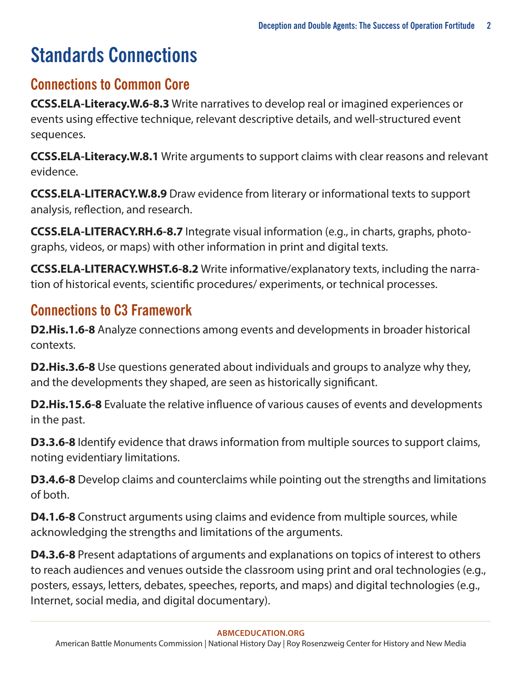# **Standards Connections**

### **Connections to Common Core**

**CCSS.ELA-Literacy.W.6-8.3** Write narratives to develop real or imagined experiences or events using effective technique, relevant descriptive details, and well-structured event sequences.

**CCSS.ELA-Literacy.W.8.1** Write arguments to support claims with clear reasons and relevant evidence.

**CCSS.ELA-LITERACY.W.8.9** Draw evidence from literary or informational texts to support analysis, reflection, and research.

**CCSS.ELA-LITERACY.RH.6-8.7** Integrate visual information (e.g., in charts, graphs, photographs, videos, or maps) with other information in print and digital texts.

**CCSS.ELA-LITERACY.WHST.6-8.2** Write informative/explanatory texts, including the narration of historical events, scientific procedures/ experiments, or technical processes.

### **Connections to C3 Framework**

**D2.His.1.6-8** Analyze connections among events and developments in broader historical contexts.

**D2.His.3.6-8** Use questions generated about individuals and groups to analyze why they, and the developments they shaped, are seen as historically significant.

**D2.His.15.6-8** Evaluate the relative influence of various causes of events and developments in the past.

**D3.3.6-8** Identify evidence that draws information from multiple sources to support claims, noting evidentiary limitations.

**D3.4.6-8** Develop claims and counterclaims while pointing out the strengths and limitations of both.

**D4.1.6-8** Construct arguments using claims and evidence from multiple sources, while acknowledging the strengths and limitations of the arguments.

**D4.3.6-8** Present adaptations of arguments and explanations on topics of interest to others to reach audiences and venues outside the classroom using print and oral technologies (e.g., posters, essays, letters, debates, speeches, reports, and maps) and digital technologies (e.g., Internet, social media, and digital documentary).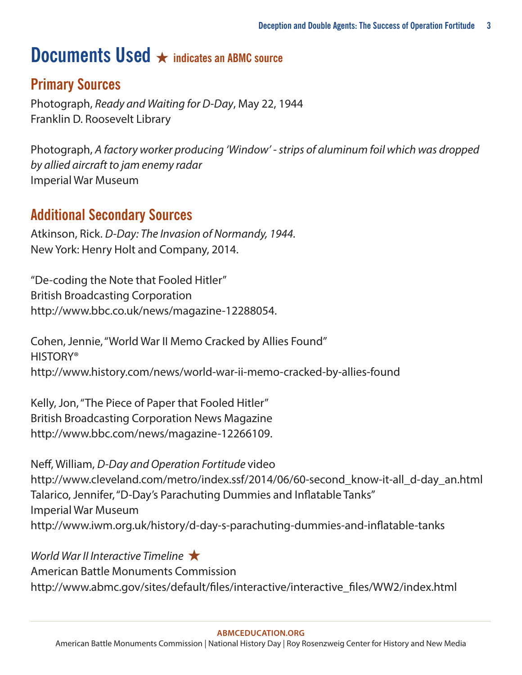### **Documents Used** ★ **indicates an ABMC source**

### **Primary Sources**

Photograph, *Ready and Waiting for D-Day*, May 22, 1944 Franklin D. Roosevelt Library

Photograph, *A factory worker producing 'Window' - strips of aluminum foil which was dropped by allied aircraft to jam enemy radar* Imperial War Museum

#### **Additional Secondary Sources**

Atkinson, Rick. *D-Day: The Invasion of Normandy, 1944.*  New York: Henry Holt and Company, 2014.

"De-coding the Note that Fooled Hitler" British Broadcasting Corporation <http://www.bbc.co.uk/news/magazine-12288054>.

Cohen, Jennie, "World War II Memo Cracked by Allies Found" HISTORY® <http://www.history.com/news/world-war-ii-memo-cracked-by-allies-found>

Kelly, Jon, "The Piece of Paper that Fooled Hitler" British Broadcasting Corporation News Magazine [http://www.bbc.com/news/magazine-12266109.](http://www.bbc.com/news/magazine-12266109)

Neff, William, *D-Day and Operation Fortitude* video [http://www.cleveland.com/metro/index.ssf/2014/06/60-second\\_know-it-all\\_d-day\\_an.html](http://www.cleveland.com/metro/index.ssf/2014/06/60-second_know-it-all_d-day_an.html) Talarico, Jennifer, "D-Day's Parachuting Dummies and Inflatable Tanks" Imperial War Museum <http://www.iwm.org.uk/history/d-day-s-parachuting-dummies-and-inflatable-tanks>

*World War II Interactive Timeline* ★ American Battle Monuments Commission [http://www.abmc.gov/sites/default/files/interactive/interactive\\_files/WW2/index.html](http://www.abmc.gov/sites/default/files/interactive/interactive_files/WW2/index.html)

#### **[ABMCEDUCATION.ORG](http://abmceducation.org)**

American Battle Monuments Commission | National History Day | Roy Rosenzweig Center for History and New Media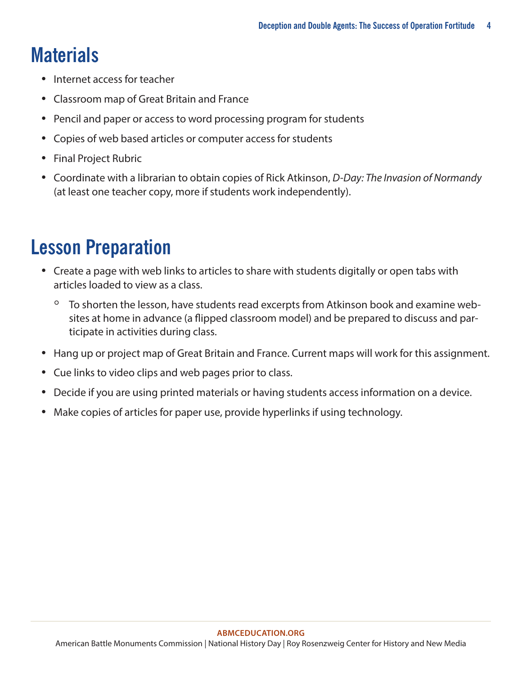# **Materials**

- Internet access for teacher
- Classroom map of Great Britain and France
- Pencil and paper or access to word processing program for students
- Copies of web based articles or computer access for students
- Final Project Rubric
- Coordinate with a librarian to obtain copies of Rick Atkinson, *D-Day: The Invasion of Normandy*  (at least one teacher copy, more if students work independently).

### **Lesson Preparation**

- Create a page with web links to articles to share with students digitally or open tabs with articles loaded to view as a class.
	- To shorten the lesson, have students read excerpts from Atkinson book and examine websites at home in advance (a flipped classroom model) and be prepared to discuss and participate in activities during class.
- Hang up or project map of Great Britain and France. Current maps will work for this assignment.
- Cue links to video clips and web pages prior to class.
- Decide if you are using printed materials or having students access information on a device.
- Make copies of articles for paper use, provide hyperlinks if using technology.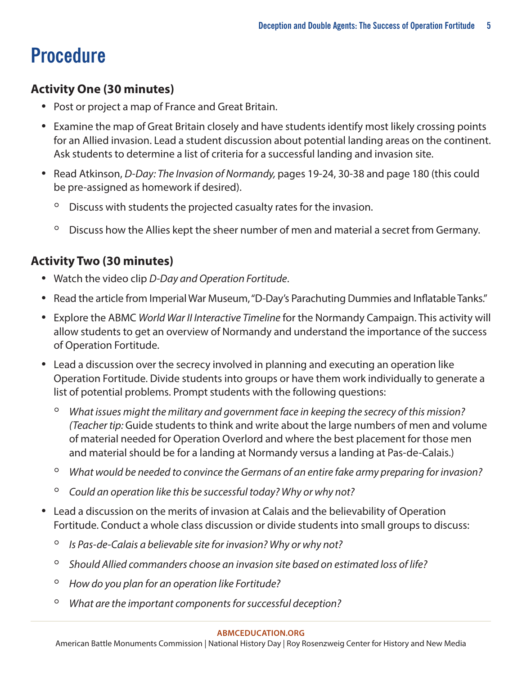# **Procedure**

#### **Activity One (30 minutes)**

- Post or project a map of France and Great Britain.
- Examine the map of Great Britain closely and have students identify most likely crossing points for an Allied invasion. Lead a student discussion about potential landing areas on the continent. Ask students to determine a list of criteria for a successful landing and invasion site.
- Read Atkinson, *D-Day: The Invasion of Normandy,* pages 19-24, 30-38 and page 180 (this could be pre-assigned as homework if desired).
	- Discuss with students the projected casualty rates for the invasion.
	- Discuss how the Allies kept the sheer number of men and material a secret from Germany.

#### **Activity Two (30 minutes)**

- Watch the video clip *D-Day and Operation Fortitude*.
- Read the article from Imperial War Museum, "D-Day's Parachuting Dummies and Inflatable Tanks."
- Explore the ABMC *World War II Interactive Timeline* for the Normandy Campaign. This activity will allow students to get an overview of Normandy and understand the importance of the success of Operation Fortitude.
- Lead a discussion over the secrecy involved in planning and executing an operation like Operation Fortitude. Divide students into groups or have them work individually to generate a list of potential problems. Prompt students with the following questions:
	- *What issues might the military and government face in keeping the secrecy of this mission? (Teacher tip:* Guide students to think and write about the large numbers of men and volume of material needed for Operation Overlord and where the best placement for those men and material should be for a landing at Normandy versus a landing at Pas-de-Calais.)
	- *What would be needed to convince the Germans of an entire fake army preparing for invasion?*
	- *Could an operation like this be successful today? Why or why not?*
- Lead a discussion on the merits of invasion at Calais and the believability of Operation Fortitude. Conduct a whole class discussion or divide students into small groups to discuss:
	- *Is Pas-de-Calais a believable site for invasion? Why or why not?*
	- *Should Allied commanders choose an invasion site based on estimated loss of life?*
	- *How do you plan for an operation like Fortitude?*
	- *What are the important components for successful deception?*

#### **[ABMCEDUCATION.ORG](http://abmceducation.org)**

American Battle Monuments Commission | National History Day | Roy Rosenzweig Center for History and New Media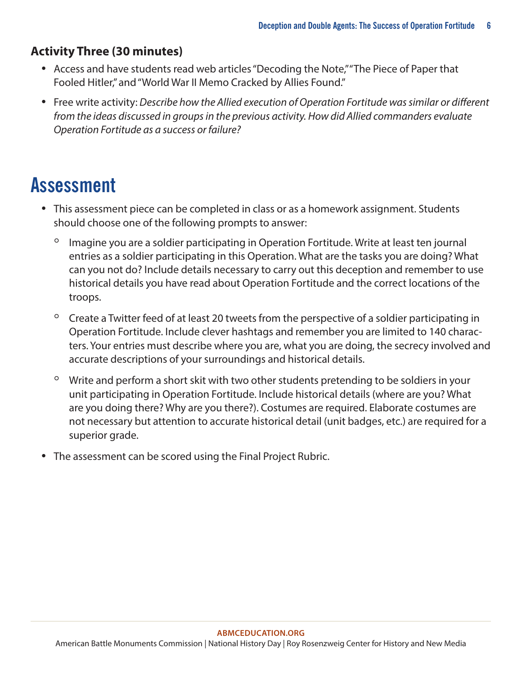#### **Activity Three (30 minutes)**

- Access and have students read web articles "Decoding the Note," "The Piece of Paper that Fooled Hitler," and "World War II Memo Cracked by Allies Found."
- Free write activity: *Describe how the Allied execution of Operation Fortitude was similar or different from the ideas discussed in groups in the previous activity. How did Allied commanders evaluate Operation Fortitude as a success or failure?*

### **Assessment**

- This assessment piece can be completed in class or as a homework assignment. Students should choose one of the following prompts to answer:
	- Imagine you are a soldier participating in Operation Fortitude. Write at least ten journal entries as a soldier participating in this Operation. What are the tasks you are doing? What can you not do? Include details necessary to carry out this deception and remember to use historical details you have read about Operation Fortitude and the correct locations of the troops.
	- Create a Twitter feed of at least 20 tweets from the perspective of a soldier participating in Operation Fortitude. Include clever hashtags and remember you are limited to 140 characters. Your entries must describe where you are, what you are doing, the secrecy involved and accurate descriptions of your surroundings and historical details.
	- Write and perform a short skit with two other students pretending to be soldiers in your unit participating in Operation Fortitude. Include historical details (where are you? What are you doing there? Why are you there?). Costumes are required. Elaborate costumes are not necessary but attention to accurate historical detail (unit badges, etc.) are required for a superior grade.
- The assessment can be scored using the Final Project Rubric.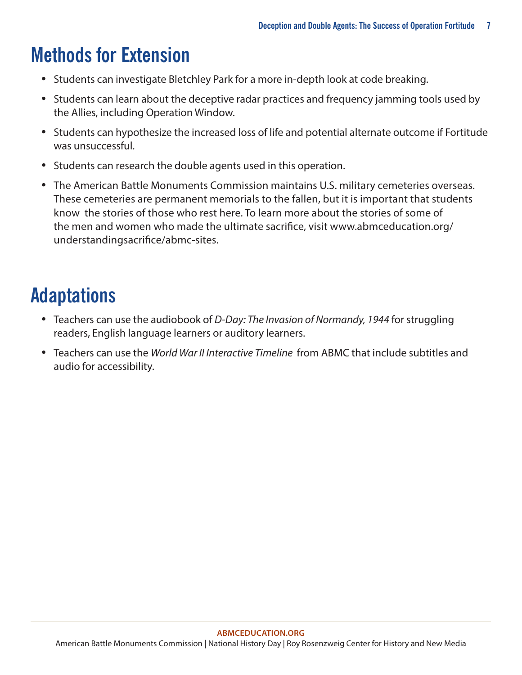# **Methods for Extension**

- Students can investigate Bletchley Park for a more in-depth look at code breaking.
- Students can learn about the deceptive radar practices and frequency jamming tools used by the Allies, including Operation Window.
- Students can hypothesize the increased loss of life and potential alternate outcome if Fortitude was unsuccessful.
- Students can research the double agents used in this operation.
- The American Battle Monuments Commission maintains U.S. military cemeteries overseas. These cemeteries are permanent memorials to the fallen, but it is important that students know the stories of those who rest here. To learn more about the stories of some of the men and women who made the ultimate sacrifice, visit www.abmceducation.org/ understandingsacrifice/abmc‐sites.

# **Adaptations**

- Teachers can use the audiobook of *D-Day: The Invasion of Normandy, 1944* for struggling readers, English language learners or auditory learners.
- Teachers can use the *World War II Interactive Timeline* from ABMC that include subtitles and audio for accessibility.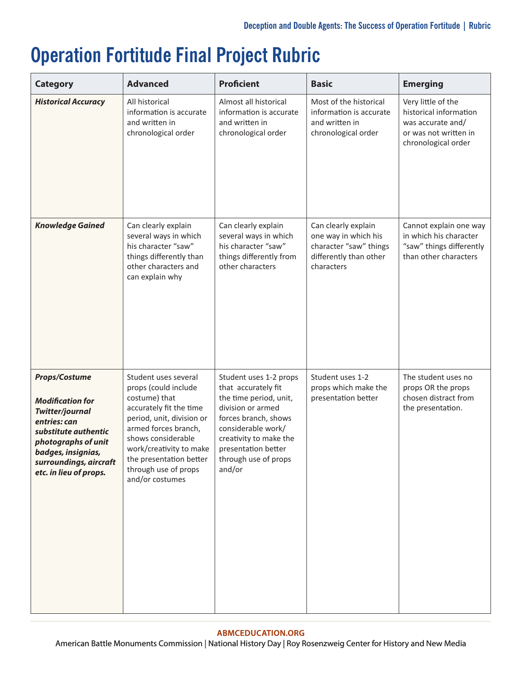# **Operation Fortitude Final Project Rubric**

| <b>Category</b>                                                                                                                                                                                             | <b>Advanced</b>                                                                                                                                                                                                                                                      | <b>Proficient</b>                                                                                                                                                                                                             | <b>Basic</b>                                                                                                  | <b>Emerging</b>                                                                                                   |
|-------------------------------------------------------------------------------------------------------------------------------------------------------------------------------------------------------------|----------------------------------------------------------------------------------------------------------------------------------------------------------------------------------------------------------------------------------------------------------------------|-------------------------------------------------------------------------------------------------------------------------------------------------------------------------------------------------------------------------------|---------------------------------------------------------------------------------------------------------------|-------------------------------------------------------------------------------------------------------------------|
| <b>Historical Accuracy</b>                                                                                                                                                                                  | All historical<br>information is accurate<br>and written in<br>chronological order                                                                                                                                                                                   | Almost all historical<br>information is accurate<br>and written in<br>chronological order                                                                                                                                     | Most of the historical<br>information is accurate<br>and written in<br>chronological order                    | Very little of the<br>historical information<br>was accurate and/<br>or was not written in<br>chronological order |
| <b>Knowledge Gained</b>                                                                                                                                                                                     | Can clearly explain<br>several ways in which<br>his character "saw"<br>things differently than<br>other characters and<br>can explain why                                                                                                                            | Can clearly explain<br>several ways in which<br>his character "saw"<br>things differently from<br>other characters                                                                                                            | Can clearly explain<br>one way in which his<br>character "saw" things<br>differently than other<br>characters | Cannot explain one way<br>in which his character<br>"saw" things differently<br>than other characters             |
| Props/Costume<br><b>Modification for</b><br><b>Twitter/journal</b><br>entries: can<br>substitute authentic<br>photographs of unit<br>badges, insignias,<br>surroundings, aircraft<br>etc. in lieu of props. | Student uses several<br>props (could include<br>costume) that<br>accurately fit the time<br>period, unit, division or<br>armed forces branch,<br>shows considerable<br>work/creativity to make<br>the presentation better<br>through use of props<br>and/or costumes | Student uses 1-2 props<br>that accurately fit<br>the time period, unit,<br>division or armed<br>forces branch, shows<br>considerable work/<br>creativity to make the<br>presentation better<br>through use of props<br>and/or | Student uses 1-2<br>props which make the<br>presentation better                                               | The student uses no<br>props OR the props<br>chosen distract from<br>the presentation.                            |

#### **[ABMCEDUCATION.ORG](http://abmceducation.org)**

American Battle Monuments Commission | National History Day | Roy Rosenzweig Center for History and New Media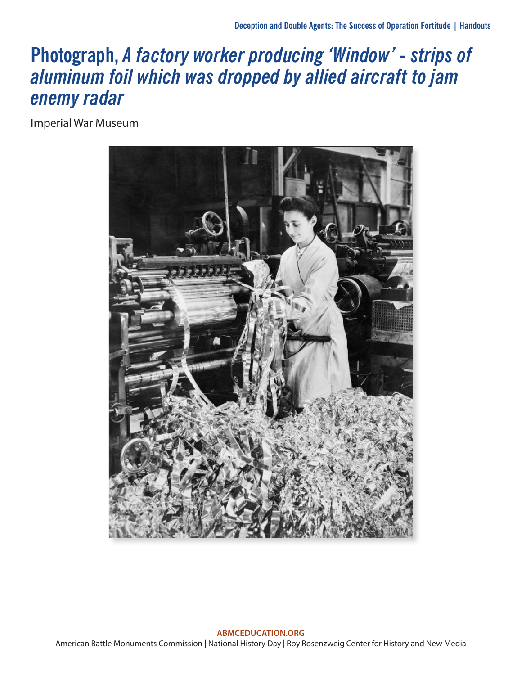### **Photograph,** *A factory worker producing 'Window' - strips of aluminum foil which was dropped by allied aircraft to jam enemy radar*

Imperial War Museum